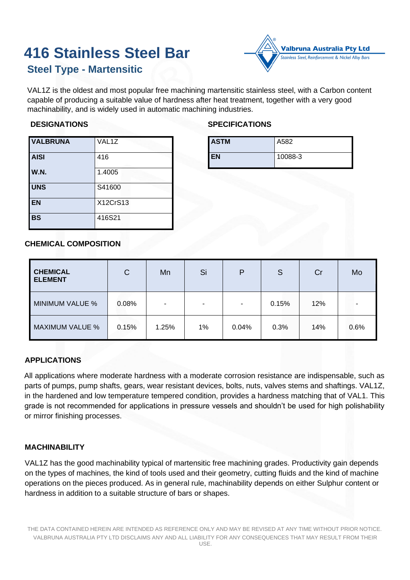# **416 Stainless Steel Bar**

# **Steel Type - Martensitic**



VAL1Z is the oldest and most popular free machining martensitic stainless steel, with a Carbon content capable of producing a suitable value of hardness after heat treatment, together with a very good machinability, and is widely used in automatic machining industries.

### **DESIGNATIONS**

# **SPECIFICATIONS**

| <b>VALBRUNA</b> | VAL1Z    | AS <sub>1</sub> |
|-----------------|----------|-----------------|
| <b>AISI</b>     | 416      | <b>EN</b>       |
| W.N.            | 1.4005   |                 |
| <b>UNS</b>      | S41600   |                 |
| <b>EN</b>       | X12CrS13 |                 |
| <b>BS</b>       | 416S21   |                 |

| <b>ASTM</b> | A582    |
|-------------|---------|
| <b>EN</b>   | 10088-3 |

# **CHEMICAL COMPOSITION**

| <b>CHEMICAL</b><br><b>ELEMENT</b> | С     | Mn    | Si    | P     | S     | Cr  | Mo   |
|-----------------------------------|-------|-------|-------|-------|-------|-----|------|
| MINIMUM VALUE %                   | 0.08% | ٠     |       | ۰     | 0.15% | 12% | ۰    |
| <b>MAXIMUM VALUE %</b>            | 0.15% | 1.25% | $1\%$ | 0.04% | 0.3%  | 14% | 0.6% |

# **APPLICATIONS**

All applications where moderate hardness with a moderate corrosion resistance are indispensable, such as parts of pumps, pump shafts, gears, wear resistant devices, bolts, nuts, valves stems and shaftings. VAL1Z, in the hardened and low temperature tempered condition, provides a hardness matching that of VAL1. This grade is not recommended for applications in pressure vessels and shouldn't be used for high polishability or mirror finishing processes.

# **MACHINABILITY**

VAL1Z has the good machinability typical of martensitic free machining grades. Productivity gain depends on the types of machines, the kind of tools used and their geometry, cutting fluids and the kind of machine operations on the pieces produced. As in general rule, machinability depends on either Sulphur content or hardness in addition to a suitable structure of bars or shapes.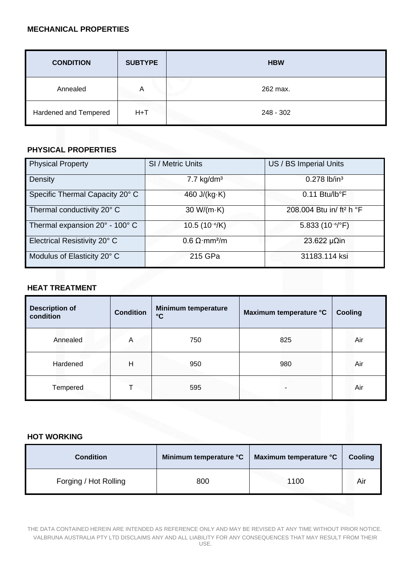#### **MECHANICAL PROPERTIES**

| <b>CONDITION</b>      | <b>SUBTYPE</b> | <b>HBW</b> |
|-----------------------|----------------|------------|
| Annealed              | Α              | 262 max.   |
| Hardened and Tempered | $H+T$          | 248 - 302  |

# **PHYSICAL PROPERTIES**

| <b>PHYSICAL PROPERTIES</b>      |                                         |                                      |  |  |  |  |
|---------------------------------|-----------------------------------------|--------------------------------------|--|--|--|--|
| <b>Physical Property</b>        | SI / Metric Units                       | US / BS Imperial Units               |  |  |  |  |
| Density                         | $7.7$ kg/dm <sup>3</sup>                | $0.278$ lb/in <sup>3</sup>           |  |  |  |  |
| Specific Thermal Capacity 20° C | 460 $J/(kg·K)$                          | $0.11$ Btu/lb°F                      |  |  |  |  |
| Thermal conductivity 20° C      | 30 W/( $m$ ·K)                          | 208.004 Btu in/ ft <sup>2</sup> h °F |  |  |  |  |
| Thermal expansion 20° - 100° C  | 10.5 $(10^{-6}/K)$                      | 5.833 (10 <sup>-6</sup> /°F)         |  |  |  |  |
| Electrical Resistivity 20° C    | $0.6 \Omega \cdot \text{mm}^2/\text{m}$ | 23.622 $\mu$ $\Omega$ in             |  |  |  |  |
| Modulus of Elasticity 20° C     | 215 GPa                                 | 31183.114 ksi                        |  |  |  |  |

# **HEAT TREATMENT**

| <b>Description of</b><br>condition | <b>Condition</b> | <b>Minimum temperature</b><br>$\mathbf{C}$ | Maximum temperature °C | <b>Cooling</b> |
|------------------------------------|------------------|--------------------------------------------|------------------------|----------------|
| Annealed                           | A                | 750                                        | 825                    | Air            |
| Hardened                           | H                | 950                                        | 980                    | Air            |
| Tempered                           |                  | 595                                        |                        | Air            |

# **HOT WORKING**

| <b>Condition</b>      | Minimum temperature °C | Maximum temperature °C | Cooling |
|-----------------------|------------------------|------------------------|---------|
| Forging / Hot Rolling | 800                    | 1100                   | Air     |

THE DATA CONTAINED HEREIN ARE INTENDED AS REFERENCE ONLY AND MAY BE REVISED AT ANY TIME WITHOUT PRIOR NOTICE. VALBRUNA AUSTRALIA PTY LTD DISCLAIMS ANY AND ALL LIABILITY FOR ANY CONSEQUENCES THAT MAY RESULT FROM THEIR USE.